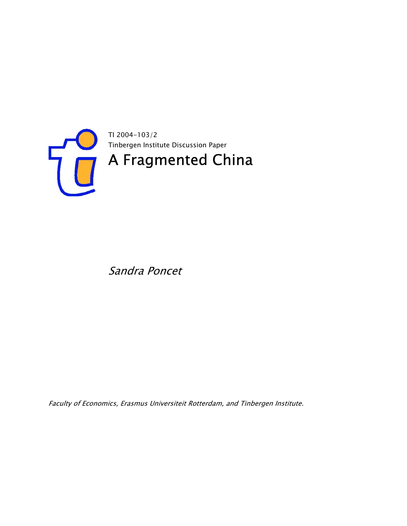

Sandra Poncet

Faculty of Economics, Erasmus Universiteit Rotterdam, and Tinbergen Institute.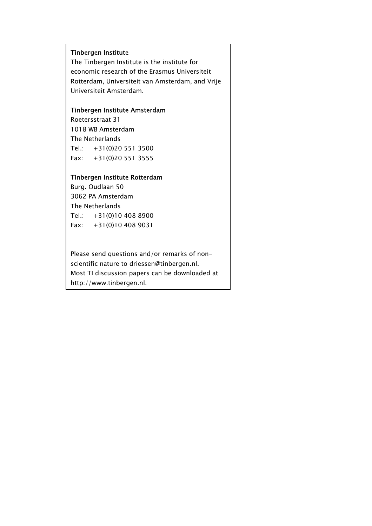#### Tinbergen Institute

The Tinbergen Institute is the institute for economic research of the Erasmus Universiteit Rotterdam, Universiteit van Amsterdam, and Vrije Universiteit Amsterdam.

#### Tinbergen Institute Amsterdam

Roetersstraat 31 1018 WB Amsterdam The Netherlands Tel.:  $+31(0)205513500$ Fax: +31(0)20 551 3555

#### Tinbergen Institute Rotterdam

Burg. Oudlaan 50 3062 PA Amsterdam The Netherlands Tel.: +31(0)10 408 8900 Fax: +31(0)10 408 9031

Please send questions and/or remarks of nonscientific nature to driessen@tinbergen.nl. Most TI discussion papers can be downloaded at http://www.tinbergen.nl.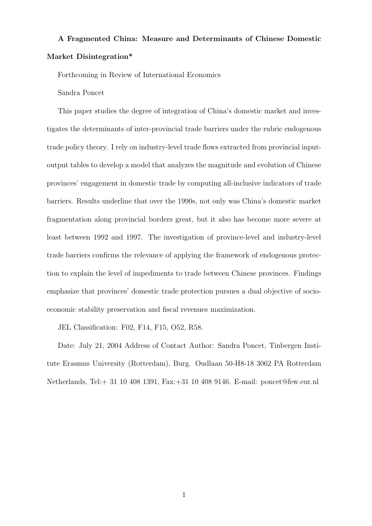## A Fragmented China: Measure and Determinants of Chinese Domestic Market Disintegration\*

Forthcoming in Review of International Economics

#### Sandra Poncet

This paper studies the degree of integration of China's domestic market and investigates the determinants of inter-provincial trade barriers under the rubric endogenous trade policy theory. I rely on industry-level trade flows extracted from provincial inputoutput tables to develop a model that analyzes the magnitude and evolution of Chinese provinces' engagement in domestic trade by computing all-inclusive indicators of trade barriers. Results underline that over the 1990s, not only was China's domestic market fragmentation along provincial borders great, but it also has become more severe at least between 1992 and 1997. The investigation of province-level and industry-level trade barriers confirms the relevance of applying the framework of endogenous protection to explain the level of impediments to trade between Chinese provinces. Findings emphasize that provinces' domestic trade protection pursues a dual objective of socioeconomic stability preservation and fiscal revenues maximization.

JEL Classification: F02, F14, F15, O52, R58.

Date: July 21, 2004 Address of Contact Author: Sandra Poncet, Tinbergen Institute Erasmus University (Rotterdam), Burg. Oudlaan 50-H8-18 3062 PA Rotterdam Netherlands, Tel:+ 31 10 408 1391, Fax:+31 10 408 9146. E-mail: poncet@few.eur.nl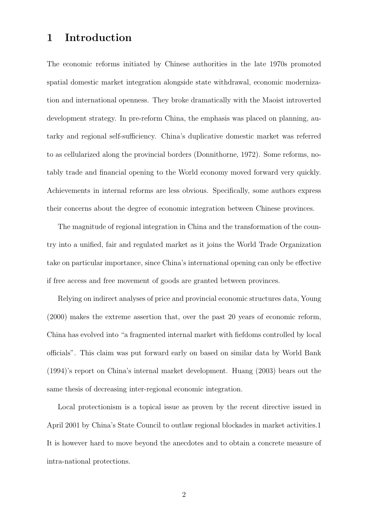## 1 Introduction

The economic reforms initiated by Chinese authorities in the late 1970s promoted spatial domestic market integration alongside state withdrawal, economic modernization and international openness. They broke dramatically with the Maoist introverted development strategy. In pre-reform China, the emphasis was placed on planning, autarky and regional self-sufficiency. China's duplicative domestic market was referred to as cellularized along the provincial borders (Donnithorne, 1972). Some reforms, notably trade and financial opening to the World economy moved forward very quickly. Achievements in internal reforms are less obvious. Specifically, some authors express their concerns about the degree of economic integration between Chinese provinces.

The magnitude of regional integration in China and the transformation of the country into a unified, fair and regulated market as it joins the World Trade Organization take on particular importance, since China's international opening can only be effective if free access and free movement of goods are granted between provinces.

Relying on indirect analyses of price and provincial economic structures data, Young (2000) makes the extreme assertion that, over the past 20 years of economic reform, China has evolved into "a fragmented internal market with fiefdoms controlled by local officials". This claim was put forward early on based on similar data by World Bank (1994)'s report on China's internal market development. Huang (2003) bears out the same thesis of decreasing inter-regional economic integration.

Local protectionism is a topical issue as proven by the recent directive issued in April 2001 by China's State Council to outlaw regional blockades in market activities.1 It is however hard to move beyond the anecdotes and to obtain a concrete measure of intra-national protections.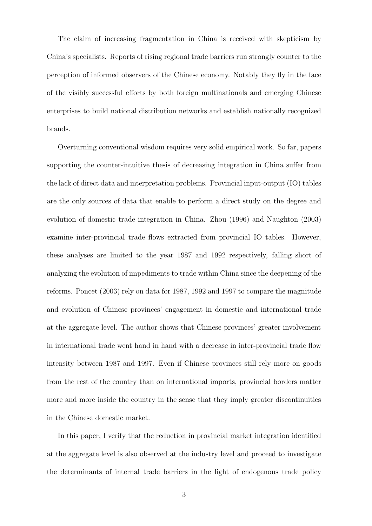The claim of increasing fragmentation in China is received with skepticism by China's specialists. Reports of rising regional trade barriers run strongly counter to the perception of informed observers of the Chinese economy. Notably they fly in the face of the visibly successful efforts by both foreign multinationals and emerging Chinese enterprises to build national distribution networks and establish nationally recognized brands.

Overturning conventional wisdom requires very solid empirical work. So far, papers supporting the counter-intuitive thesis of decreasing integration in China suffer from the lack of direct data and interpretation problems. Provincial input-output (IO) tables are the only sources of data that enable to perform a direct study on the degree and evolution of domestic trade integration in China. Zhou (1996) and Naughton (2003) examine inter-provincial trade flows extracted from provincial IO tables. However, these analyses are limited to the year 1987 and 1992 respectively, falling short of analyzing the evolution of impediments to trade within China since the deepening of the reforms. Poncet (2003) rely on data for 1987, 1992 and 1997 to compare the magnitude and evolution of Chinese provinces' engagement in domestic and international trade at the aggregate level. The author shows that Chinese provinces' greater involvement in international trade went hand in hand with a decrease in inter-provincial trade flow intensity between 1987 and 1997. Even if Chinese provinces still rely more on goods from the rest of the country than on international imports, provincial borders matter more and more inside the country in the sense that they imply greater discontinuities in the Chinese domestic market.

In this paper, I verify that the reduction in provincial market integration identified at the aggregate level is also observed at the industry level and proceed to investigate the determinants of internal trade barriers in the light of endogenous trade policy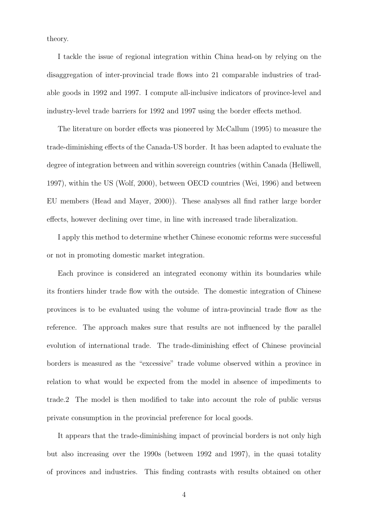theory.

I tackle the issue of regional integration within China head-on by relying on the disaggregation of inter-provincial trade flows into 21 comparable industries of tradable goods in 1992 and 1997. I compute all-inclusive indicators of province-level and industry-level trade barriers for 1992 and 1997 using the border effects method.

The literature on border effects was pioneered by McCallum (1995) to measure the trade-diminishing effects of the Canada-US border. It has been adapted to evaluate the degree of integration between and within sovereign countries (within Canada (Helliwell, 1997), within the US (Wolf, 2000), between OECD countries (Wei, 1996) and between EU members (Head and Mayer, 2000)). These analyses all find rather large border effects, however declining over time, in line with increased trade liberalization.

I apply this method to determine whether Chinese economic reforms were successful or not in promoting domestic market integration.

Each province is considered an integrated economy within its boundaries while its frontiers hinder trade flow with the outside. The domestic integration of Chinese provinces is to be evaluated using the volume of intra-provincial trade flow as the reference. The approach makes sure that results are not influenced by the parallel evolution of international trade. The trade-diminishing effect of Chinese provincial borders is measured as the "excessive" trade volume observed within a province in relation to what would be expected from the model in absence of impediments to trade.2 The model is then modified to take into account the role of public versus private consumption in the provincial preference for local goods.

It appears that the trade-diminishing impact of provincial borders is not only high but also increasing over the 1990s (between 1992 and 1997), in the quasi totality of provinces and industries. This finding contrasts with results obtained on other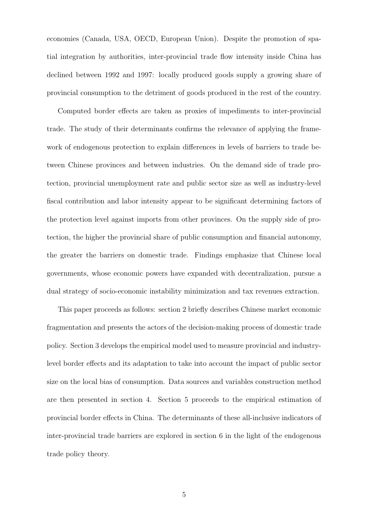economies (Canada, USA, OECD, European Union). Despite the promotion of spatial integration by authorities, inter-provincial trade flow intensity inside China has declined between 1992 and 1997: locally produced goods supply a growing share of provincial consumption to the detriment of goods produced in the rest of the country.

Computed border effects are taken as proxies of impediments to inter-provincial trade. The study of their determinants confirms the relevance of applying the framework of endogenous protection to explain differences in levels of barriers to trade between Chinese provinces and between industries. On the demand side of trade protection, provincial unemployment rate and public sector size as well as industry-level fiscal contribution and labor intensity appear to be significant determining factors of the protection level against imports from other provinces. On the supply side of protection, the higher the provincial share of public consumption and financial autonomy, the greater the barriers on domestic trade. Findings emphasize that Chinese local governments, whose economic powers have expanded with decentralization, pursue a dual strategy of socio-economic instability minimization and tax revenues extraction.

This paper proceeds as follows: section 2 briefly describes Chinese market economic fragmentation and presents the actors of the decision-making process of domestic trade policy. Section 3 develops the empirical model used to measure provincial and industrylevel border effects and its adaptation to take into account the impact of public sector size on the local bias of consumption. Data sources and variables construction method are then presented in section 4. Section 5 proceeds to the empirical estimation of provincial border effects in China. The determinants of these all-inclusive indicators of inter-provincial trade barriers are explored in section 6 in the light of the endogenous trade policy theory.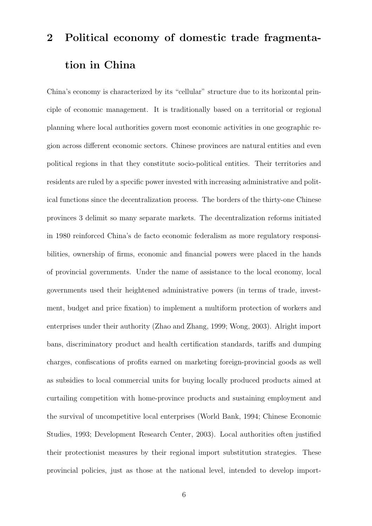# 2 Political economy of domestic trade fragmentation in China

China's economy is characterized by its "cellular" structure due to its horizontal principle of economic management. It is traditionally based on a territorial or regional planning where local authorities govern most economic activities in one geographic region across different economic sectors. Chinese provinces are natural entities and even political regions in that they constitute socio-political entities. Their territories and residents are ruled by a specific power invested with increasing administrative and political functions since the decentralization process. The borders of the thirty-one Chinese provinces 3 delimit so many separate markets. The decentralization reforms initiated in 1980 reinforced China's de facto economic federalism as more regulatory responsibilities, ownership of firms, economic and financial powers were placed in the hands of provincial governments. Under the name of assistance to the local economy, local governments used their heightened administrative powers (in terms of trade, investment, budget and price fixation) to implement a multiform protection of workers and enterprises under their authority (Zhao and Zhang, 1999; Wong, 2003). Alright import bans, discriminatory product and health certification standards, tariffs and dumping charges, confiscations of profits earned on marketing foreign-provincial goods as well as subsidies to local commercial units for buying locally produced products aimed at curtailing competition with home-province products and sustaining employment and the survival of uncompetitive local enterprises (World Bank, 1994; Chinese Economic Studies, 1993; Development Research Center, 2003). Local authorities often justified their protectionist measures by their regional import substitution strategies. These provincial policies, just as those at the national level, intended to develop import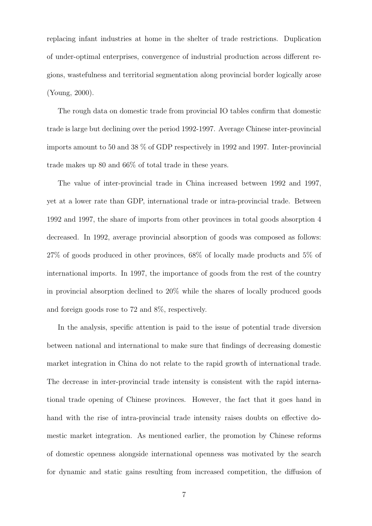replacing infant industries at home in the shelter of trade restrictions. Duplication of under-optimal enterprises, convergence of industrial production across different regions, wastefulness and territorial segmentation along provincial border logically arose (Young, 2000).

The rough data on domestic trade from provincial IO tables confirm that domestic trade is large but declining over the period 1992-1997. Average Chinese inter-provincial imports amount to 50 and 38 % of GDP respectively in 1992 and 1997. Inter-provincial trade makes up 80 and 66% of total trade in these years.

The value of inter-provincial trade in China increased between 1992 and 1997, yet at a lower rate than GDP, international trade or intra-provincial trade. Between 1992 and 1997, the share of imports from other provinces in total goods absorption 4 decreased. In 1992, average provincial absorption of goods was composed as follows: 27% of goods produced in other provinces, 68% of locally made products and 5% of international imports. In 1997, the importance of goods from the rest of the country in provincial absorption declined to 20% while the shares of locally produced goods and foreign goods rose to 72 and 8%, respectively.

In the analysis, specific attention is paid to the issue of potential trade diversion between national and international to make sure that findings of decreasing domestic market integration in China do not relate to the rapid growth of international trade. The decrease in inter-provincial trade intensity is consistent with the rapid international trade opening of Chinese provinces. However, the fact that it goes hand in hand with the rise of intra-provincial trade intensity raises doubts on effective domestic market integration. As mentioned earlier, the promotion by Chinese reforms of domestic openness alongside international openness was motivated by the search for dynamic and static gains resulting from increased competition, the diffusion of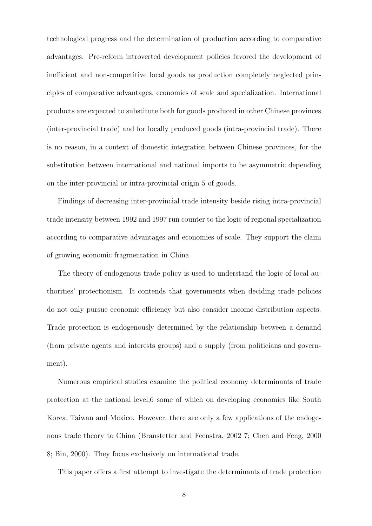technological progress and the determination of production according to comparative advantages. Pre-reform introverted development policies favored the development of inefficient and non-competitive local goods as production completely neglected principles of comparative advantages, economies of scale and specialization. International products are expected to substitute both for goods produced in other Chinese provinces (inter-provincial trade) and for locally produced goods (intra-provincial trade). There is no reason, in a context of domestic integration between Chinese provinces, for the substitution between international and national imports to be asymmetric depending on the inter-provincial or intra-provincial origin 5 of goods.

Findings of decreasing inter-provincial trade intensity beside rising intra-provincial trade intensity between 1992 and 1997 run counter to the logic of regional specialization according to comparative advantages and economies of scale. They support the claim of growing economic fragmentation in China.

The theory of endogenous trade policy is used to understand the logic of local authorities' protectionism. It contends that governments when deciding trade policies do not only pursue economic efficiency but also consider income distribution aspects. Trade protection is endogenously determined by the relationship between a demand (from private agents and interests groups) and a supply (from politicians and government).

Numerous empirical studies examine the political economy determinants of trade protection at the national level,6 some of which on developing economies like South Korea, Taiwan and Mexico. However, there are only a few applications of the endogenous trade theory to China (Branstetter and Feenstra, 2002 7; Chen and Feng, 2000 8; Bin, 2000). They focus exclusively on international trade.

This paper offers a first attempt to investigate the determinants of trade protection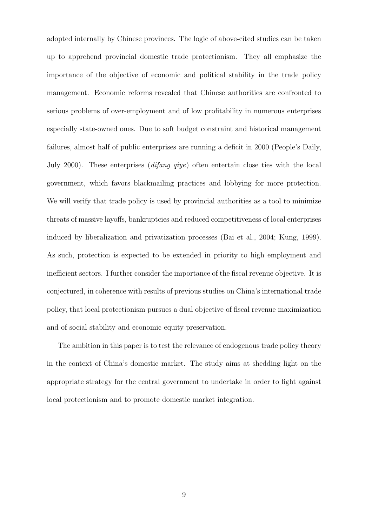adopted internally by Chinese provinces. The logic of above-cited studies can be taken up to apprehend provincial domestic trade protectionism. They all emphasize the importance of the objective of economic and political stability in the trade policy management. Economic reforms revealed that Chinese authorities are confronted to serious problems of over-employment and of low profitability in numerous enterprises especially state-owned ones. Due to soft budget constraint and historical management failures, almost half of public enterprises are running a deficit in 2000 (People's Daily, July 2000). These enterprises *(difang qiye)* often entertain close ties with the local government, which favors blackmailing practices and lobbying for more protection. We will verify that trade policy is used by provincial authorities as a tool to minimize threats of massive layoffs, bankruptcies and reduced competitiveness of local enterprises induced by liberalization and privatization processes (Bai et al., 2004; Kung, 1999). As such, protection is expected to be extended in priority to high employment and inefficient sectors. I further consider the importance of the fiscal revenue objective. It is conjectured, in coherence with results of previous studies on China's international trade policy, that local protectionism pursues a dual objective of fiscal revenue maximization and of social stability and economic equity preservation.

The ambition in this paper is to test the relevance of endogenous trade policy theory in the context of China's domestic market. The study aims at shedding light on the appropriate strategy for the central government to undertake in order to fight against local protectionism and to promote domestic market integration.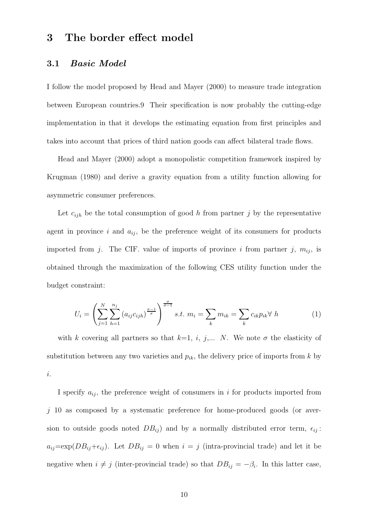## 3 The border effect model

#### 3.1 Basic Model

I follow the model proposed by Head and Mayer (2000) to measure trade integration between European countries.9 Their specification is now probably the cutting-edge implementation in that it develops the estimating equation from first principles and takes into account that prices of third nation goods can affect bilateral trade flows.

Head and Mayer (2000) adopt a monopolistic competition framework inspired by Krugman (1980) and derive a gravity equation from a utility function allowing for asymmetric consumer preferences.

Let  $c_{ijh}$  be the total consumption of good h from partner j by the representative agent in province i and  $a_{ij}$ , be the preference weight of its consumers for products imported from j. The CIF. value of imports of province i from partner j,  $m_{ij}$ , is obtained through the maximization of the following CES utility function under the budget constraint:

$$
U_i = \left(\sum_{j=1}^{N} \sum_{h=1}^{n_j} (a_{ij}c_{ijh})^{\frac{\sigma-1}{\sigma}}\right)^{\frac{\sigma}{\sigma-1}} s.t. \ m_i = \sum_k m_{ik} = \sum_k c_{ik} p_{ik} \forall \ h \tag{1}
$$

with k covering all partners so that  $k=1, i, j,... N$ . We note  $\sigma$  the elasticity of substitution between any two varieties and  $p_{ik}$ , the delivery price of imports from k by i.

I specify  $a_{ij}$ , the preference weight of consumers in i for products imported from  $j$  10 as composed by a systematic preference for home-produced goods (or aversion to outside goods noted  $DB_{ij}$  and by a normally distributed error term,  $\epsilon_{ij}$ :  $a_{ij}=\exp(DB_{ij}+\epsilon_{ij})$ . Let  $DB_{ij}=0$  when  $i=j$  (intra-provincial trade) and let it be negative when  $i \neq j$  (inter-provincial trade) so that  $DB_{ij} = -\beta_i$ . In this latter case,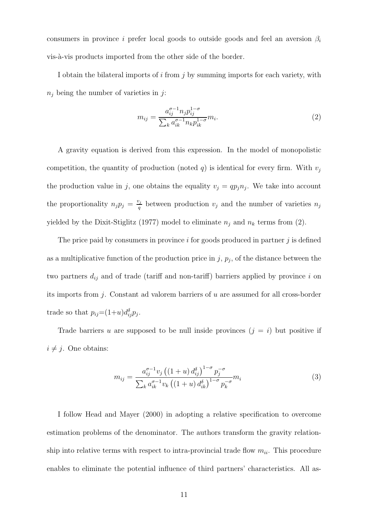consumers in province i prefer local goods to outside goods and feel an aversion  $\beta_i$ vis-à-vis products imported from the other side of the border.

I obtain the bilateral imports of  $i$  from  $j$  by summing imports for each variety, with  $n_i$  being the number of varieties in j:

$$
m_{ij} = \frac{a_{ij}^{\sigma - 1} n_j p_{ij}^{1 - \sigma}}{\sum_{k} a_{ik}^{\sigma - 1} n_k p_{ik}^{1 - \sigma}} m_i.
$$
\n(2)

A gravity equation is derived from this expression. In the model of monopolistic competition, the quantity of production (noted q) is identical for every firm. With  $v_i$ the production value in j, one obtains the equality  $v_j = qp_j n_j$ . We take into account the proportionality  $n_j p_j = \frac{v_j}{q}$  $\frac{\partial j}{q}$  between production  $v_j$  and the number of varieties  $n_j$ yielded by the Dixit-Stiglitz (1977) model to eliminate  $n_j$  and  $n_k$  terms from (2).

The price paid by consumers in province  $i$  for goods produced in partner  $j$  is defined as a multiplicative function of the production price in  $j$ ,  $p_j$ , of the distance between the two partners  $d_{ij}$  and of trade (tariff and non-tariff) barriers applied by province i on its imports from j. Constant ad valorem barriers of u are assumed for all cross-border trade so that  $p_{ij} = (1+u)d_{ij}^{\delta}p_j$ .

Trade barriers u are supposed to be null inside provinces  $(j = i)$  but positive if  $i \neq j$ . One obtains:

$$
m_{ij} = \frac{a_{ij}^{\sigma - 1} v_j \left( (1 + u) d_{ij}^{\delta} \right)^{1 - \sigma} p_j^{-\sigma}}{\sum_k a_{ik}^{\sigma - 1} v_k \left( (1 + u) d_{ik}^{\delta} \right)^{1 - \sigma} p_k^{-\sigma}} m_i
$$
\n(3)

I follow Head and Mayer (2000) in adopting a relative specification to overcome estimation problems of the denominator. The authors transform the gravity relationship into relative terms with respect to intra-provincial trade flow  $m_{ii}$ . This procedure enables to eliminate the potential influence of third partners' characteristics. All as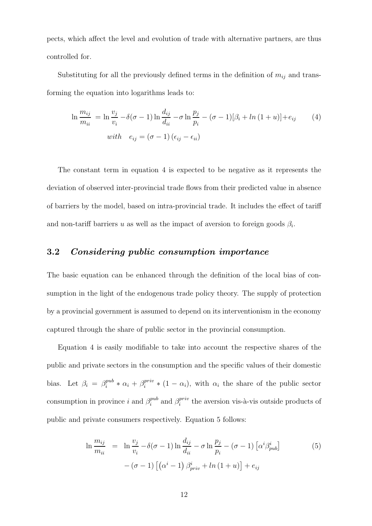pects, which affect the level and evolution of trade with alternative partners, are thus controlled for.

Substituting for all the previously defined terms in the definition of  $m_{ij}$  and transforming the equation into logarithms leads to:

$$
\ln \frac{m_{ij}}{m_{ii}} = \ln \frac{v_j}{v_i} - \delta(\sigma - 1) \ln \frac{d_{ij}}{d_{ii}} - \sigma \ln \frac{p_j}{p_i} - (\sigma - 1)[\beta_i + \ln(1 + u)] + e_{ij}
$$
(4)  
with  $e_{ij} = (\sigma - 1)(\epsilon_{ij} - \epsilon_{ii})$ 

The constant term in equation 4 is expected to be negative as it represents the deviation of observed inter-provincial trade flows from their predicted value in absence of barriers by the model, based on intra-provincial trade. It includes the effect of tariff and non-tariff barriers u as well as the impact of aversion to foreign goods  $\beta_i$ .

#### 3.2 Considering public consumption importance

The basic equation can be enhanced through the definition of the local bias of consumption in the light of the endogenous trade policy theory. The supply of protection by a provincial government is assumed to depend on its interventionism in the economy captured through the share of public sector in the provincial consumption.

Equation 4 is easily modifiable to take into account the respective shares of the public and private sectors in the consumption and the specific values of their domestic bias. Let  $\beta_i = \beta_i^{pub}$  $a_i^{pub} * \alpha_i + \beta_i^{priv}$  $i^{priv}_{i} * (1 - \alpha_{i}),$  with  $\alpha_{i}$  the share of the public sector consumption in province i and  $\beta_i^{pub}$  $i^{pub}$  and  $\beta_i^{priv}$  $i^{priv}_{i}$  the aversion vis-à-vis outside products of public and private consumers respectively. Equation 5 follows:

$$
\ln \frac{m_{ij}}{m_{ii}} = \ln \frac{v_j}{v_i} - \delta(\sigma - 1) \ln \frac{d_{ij}}{d_{ii}} - \sigma \ln \frac{p_j}{p_i} - (\sigma - 1) \left[ \alpha^i \beta_{pub}^i \right] - (\sigma - 1) \left[ \left( \alpha^i - 1 \right) \beta_{priv}^i + \ln \left( 1 + u \right) \right] + e_{ij}
$$
\n(5)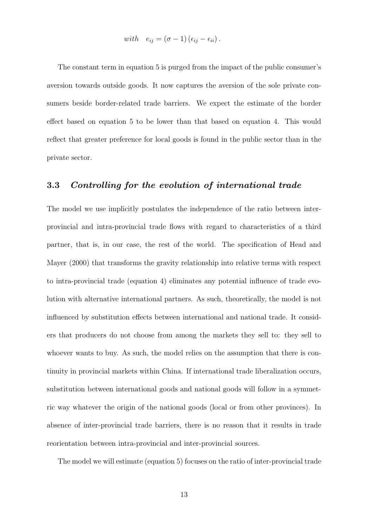with 
$$
e_{ij} = (\sigma - 1) (\epsilon_{ij} - \epsilon_{ii}).
$$

The constant term in equation 5 is purged from the impact of the public consumer's aversion towards outside goods. It now captures the aversion of the sole private consumers beside border-related trade barriers. We expect the estimate of the border effect based on equation 5 to be lower than that based on equation 4. This would reflect that greater preference for local goods is found in the public sector than in the private sector.

#### 3.3 Controlling for the evolution of international trade

The model we use implicitly postulates the independence of the ratio between interprovincial and intra-provincial trade flows with regard to characteristics of a third partner, that is, in our case, the rest of the world. The specification of Head and Mayer (2000) that transforms the gravity relationship into relative terms with respect to intra-provincial trade (equation 4) eliminates any potential influence of trade evolution with alternative international partners. As such, theoretically, the model is not influenced by substitution effects between international and national trade. It considers that producers do not choose from among the markets they sell to: they sell to whoever wants to buy. As such, the model relies on the assumption that there is continuity in provincial markets within China. If international trade liberalization occurs, substitution between international goods and national goods will follow in a symmetric way whatever the origin of the national goods (local or from other provinces). In absence of inter-provincial trade barriers, there is no reason that it results in trade reorientation between intra-provincial and inter-provincial sources.

The model we will estimate (equation 5) focuses on the ratio of inter-provincial trade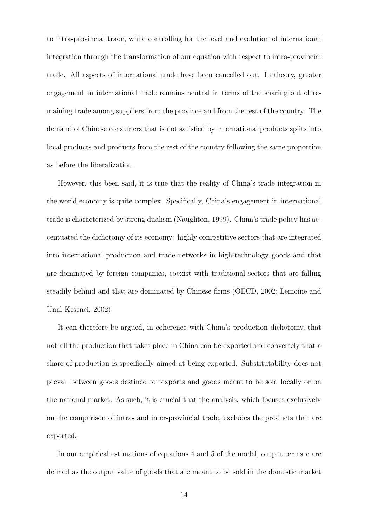to intra-provincial trade, while controlling for the level and evolution of international integration through the transformation of our equation with respect to intra-provincial trade. All aspects of international trade have been cancelled out. In theory, greater engagement in international trade remains neutral in terms of the sharing out of remaining trade among suppliers from the province and from the rest of the country. The demand of Chinese consumers that is not satisfied by international products splits into local products and products from the rest of the country following the same proportion as before the liberalization.

However, this been said, it is true that the reality of China's trade integration in the world economy is quite complex. Specifically, China's engagement in international trade is characterized by strong dualism (Naughton, 1999). China's trade policy has accentuated the dichotomy of its economy: highly competitive sectors that are integrated into international production and trade networks in high-technology goods and that are dominated by foreign companies, coexist with traditional sectors that are falling steadily behind and that are dominated by Chinese firms (OECD, 2002; Lemoine and Unal-Kesenci, 2002).

It can therefore be argued, in coherence with China's production dichotomy, that not all the production that takes place in China can be exported and conversely that a share of production is specifically aimed at being exported. Substitutability does not prevail between goods destined for exports and goods meant to be sold locally or on the national market. As such, it is crucial that the analysis, which focuses exclusively on the comparison of intra- and inter-provincial trade, excludes the products that are exported.

In our empirical estimations of equations  $4$  and  $5$  of the model, output terms  $v$  are defined as the output value of goods that are meant to be sold in the domestic market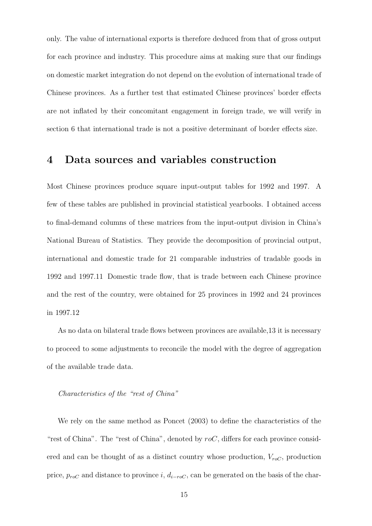only. The value of international exports is therefore deduced from that of gross output for each province and industry. This procedure aims at making sure that our findings on domestic market integration do not depend on the evolution of international trade of Chinese provinces. As a further test that estimated Chinese provinces' border effects are not inflated by their concomitant engagement in foreign trade, we will verify in section 6 that international trade is not a positive determinant of border effects size.

### 4 Data sources and variables construction

Most Chinese provinces produce square input-output tables for 1992 and 1997. A few of these tables are published in provincial statistical yearbooks. I obtained access to final-demand columns of these matrices from the input-output division in China's National Bureau of Statistics. They provide the decomposition of provincial output, international and domestic trade for 21 comparable industries of tradable goods in 1992 and 1997.11 Domestic trade flow, that is trade between each Chinese province and the rest of the country, were obtained for 25 provinces in 1992 and 24 provinces in 1997.12

As no data on bilateral trade flows between provinces are available,13 it is necessary to proceed to some adjustments to reconcile the model with the degree of aggregation of the available trade data.

#### Characteristics of the "rest of China"

We rely on the same method as Poncet (2003) to define the characteristics of the "rest of China". The "rest of China", denoted by  $roC$ , differs for each province considered and can be thought of as a distinct country whose production,  $V_{\text{roC}}$ , production price,  $p_{roC}$  and distance to province i,  $d_{i-roC}$ , can be generated on the basis of the char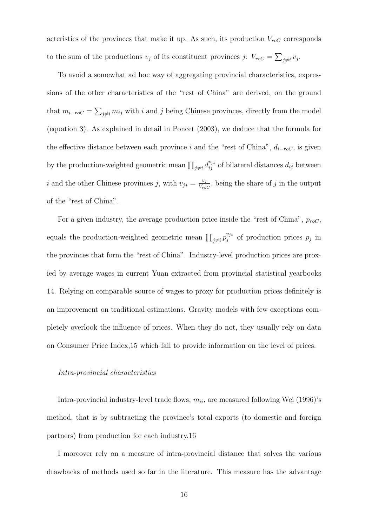acteristics of the provinces that make it up. As such, its production  $V_{\text{roC}}$  corresponds to the sum of the productions  $v_j$  of its constituent provinces j:  $V_{\text{ro}C} = \sum_{j \neq i} v_j$ .

To avoid a somewhat ad hoc way of aggregating provincial characteristics, expressions of the other characteristics of the "rest of China" are derived, on the ground that  $m_{i-roC} = \sum_{j\neq i} m_{ij}$  with i and j being Chinese provinces, directly from the model (equation 3). As explained in detail in Poncet (2003), we deduce that the formula for the effective distance between each province i and the "rest of China",  $d_{i-roC}$ , is given by the production-weighted geometric mean  $\prod_{j\neq i} d_{ij}^{v_{j*}}$  of bilateral distances  $d_{ij}$  between i and the other Chinese provinces j, with  $v_{j*} = \frac{v_j}{V_{-i}}$  $\frac{v_j}{V_{roc}}$ , being the share of j in the output of the "rest of China".

For a given industry, the average production price inside the "rest of China",  $p_{\text{roC}}$ , equals the production-weighted geometric mean  $\prod_{j\neq i} p_j^{v_j*}$  $y_j^{v_{j*}}$  of production prices  $p_j$  in the provinces that form the "rest of China". Industry-level production prices are proxied by average wages in current Yuan extracted from provincial statistical yearbooks 14. Relying on comparable source of wages to proxy for production prices definitely is an improvement on traditional estimations. Gravity models with few exceptions completely overlook the influence of prices. When they do not, they usually rely on data on Consumer Price Index,15 which fail to provide information on the level of prices.

#### Intra-provincial characteristics

Intra-provincial industry-level trade flows,  $m_{ii}$ , are measured following Wei (1996)'s method, that is by subtracting the province's total exports (to domestic and foreign partners) from production for each industry.16

I moreover rely on a measure of intra-provincial distance that solves the various drawbacks of methods used so far in the literature. This measure has the advantage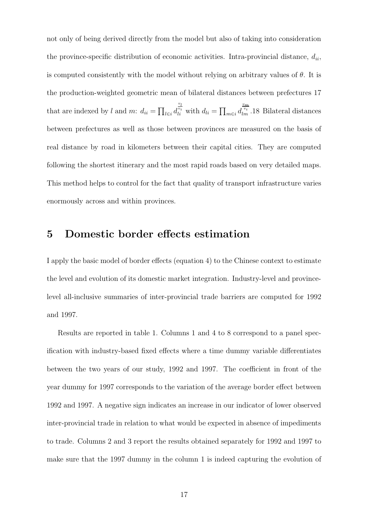not only of being derived directly from the model but also of taking into consideration the province-specific distribution of economic activities. Intra-provincial distance,  $d_{ii}$ , is computed consistently with the model without relying on arbitrary values of  $\theta$ . It is the production-weighted geometric mean of bilateral distances between prefectures 17 that are indexed by l and m:  $d_{ii} = \prod_{l \in i} d_l$  $\frac{v_l}{v_i}$  with  $d_{li} = \prod_{m \in i} d$  $\frac{v_m}{v_i}$ .<br>18 Bilateral distances between prefectures as well as those between provinces are measured on the basis of real distance by road in kilometers between their capital cities. They are computed following the shortest itinerary and the most rapid roads based on very detailed maps. This method helps to control for the fact that quality of transport infrastructure varies enormously across and within provinces.

## 5 Domestic border effects estimation

I apply the basic model of border effects (equation 4) to the Chinese context to estimate the level and evolution of its domestic market integration. Industry-level and provincelevel all-inclusive summaries of inter-provincial trade barriers are computed for 1992 and 1997.

Results are reported in table 1. Columns 1 and 4 to 8 correspond to a panel specification with industry-based fixed effects where a time dummy variable differentiates between the two years of our study, 1992 and 1997. The coefficient in front of the year dummy for 1997 corresponds to the variation of the average border effect between 1992 and 1997. A negative sign indicates an increase in our indicator of lower observed inter-provincial trade in relation to what would be expected in absence of impediments to trade. Columns 2 and 3 report the results obtained separately for 1992 and 1997 to make sure that the 1997 dummy in the column 1 is indeed capturing the evolution of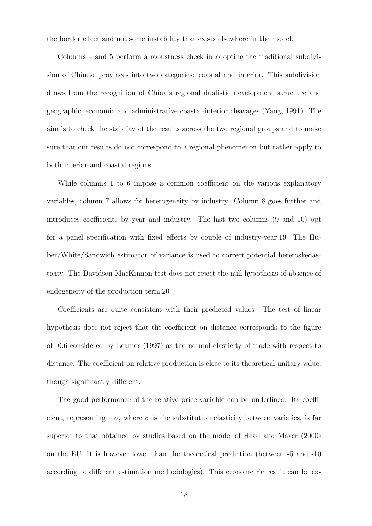the border effect and not some instability that exists elsewhere in the model.

Columns 4 and 5 perform a robustness check in adopting the traditional subdivision of Chinese provinces into two categories: coastal and interior. This subdivision draws from the recognition of China's regional dualistic development structure and geographic, economic and administrative coastal-interior cleavages (Yang, 1991). The aim is to check the stability of the results across the two regional groups and to make sure that our results do not correspond to a regional phenomenon but rather apply to both interior and coastal regions.

While columns 1 to 6 impose a common coefficient on the various explanatory variables, column 7 allows for heterogeneity by industry. Column 8 goes further and introduces coefficients by year and industry. The last two columns (9 and 10) opt for a panel specification with fixed effects by couple of industry-year.19 The Huber/White/Sandwich estimator of variance is used to correct potential heteroskedasticity. The Davidson-MacKinnon test does not reject the null hypothesis of absence of endogeneity of the production term.20

Coefficients are quite consistent with their predicted values. The test of linear hypothesis does not reject that the coefficient on distance corresponds to the figure of -0.6 considered by Leamer (1997) as the normal elasticity of trade with respect to distance. The coefficient on relative production is close to its theoretical unitary value, though significantly different.

The good performance of the relative price variable can be underlined. Its coefficient, representing  $-\sigma$ , where  $\sigma$  is the substitution elasticity between varieties, is far superior to that obtained by studies based on the model of Head and Mayer (2000) on the EU. It is however lower than the theoretical prediction (between -5 and -10 according to different estimation methodologies). This econometric result can be ex-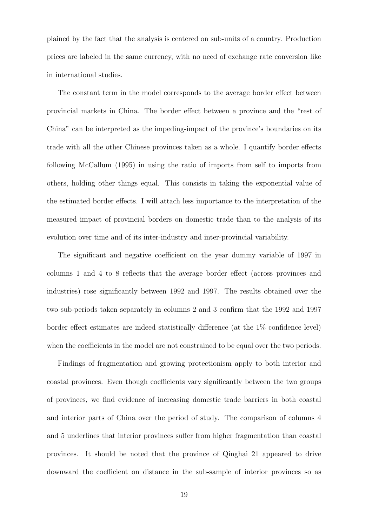plained by the fact that the analysis is centered on sub-units of a country. Production prices are labeled in the same currency, with no need of exchange rate conversion like in international studies.

The constant term in the model corresponds to the average border effect between provincial markets in China. The border effect between a province and the "rest of China" can be interpreted as the impeding-impact of the province's boundaries on its trade with all the other Chinese provinces taken as a whole. I quantify border effects following McCallum (1995) in using the ratio of imports from self to imports from others, holding other things equal. This consists in taking the exponential value of the estimated border effects. I will attach less importance to the interpretation of the measured impact of provincial borders on domestic trade than to the analysis of its evolution over time and of its inter-industry and inter-provincial variability.

The significant and negative coefficient on the year dummy variable of 1997 in columns 1 and 4 to 8 reflects that the average border effect (across provinces and industries) rose significantly between 1992 and 1997. The results obtained over the two sub-periods taken separately in columns 2 and 3 confirm that the 1992 and 1997 border effect estimates are indeed statistically difference (at the 1% confidence level) when the coefficients in the model are not constrained to be equal over the two periods.

Findings of fragmentation and growing protectionism apply to both interior and coastal provinces. Even though coefficients vary significantly between the two groups of provinces, we find evidence of increasing domestic trade barriers in both coastal and interior parts of China over the period of study. The comparison of columns 4 and 5 underlines that interior provinces suffer from higher fragmentation than coastal provinces. It should be noted that the province of Qinghai 21 appeared to drive downward the coefficient on distance in the sub-sample of interior provinces so as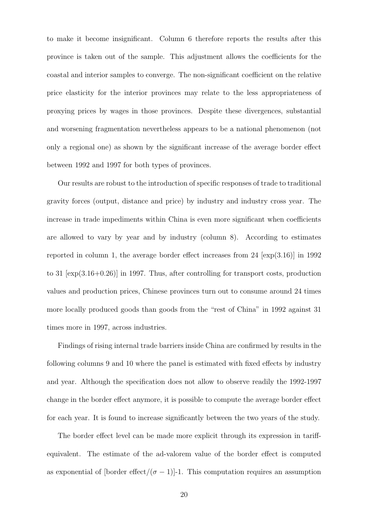to make it become insignificant. Column 6 therefore reports the results after this province is taken out of the sample. This adjustment allows the coefficients for the coastal and interior samples to converge. The non-significant coefficient on the relative price elasticity for the interior provinces may relate to the less appropriateness of proxying prices by wages in those provinces. Despite these divergences, substantial and worsening fragmentation nevertheless appears to be a national phenomenon (not only a regional one) as shown by the significant increase of the average border effect between 1992 and 1997 for both types of provinces.

Our results are robust to the introduction of specific responses of trade to traditional gravity forces (output, distance and price) by industry and industry cross year. The increase in trade impediments within China is even more significant when coefficients are allowed to vary by year and by industry (column 8). According to estimates reported in column 1, the average border effect increases from  $24 \sim \text{exp}(3.16)$  in 1992 to 31 [exp(3.16+0.26)] in 1997. Thus, after controlling for transport costs, production values and production prices, Chinese provinces turn out to consume around 24 times more locally produced goods than goods from the "rest of China" in 1992 against 31 times more in 1997, across industries.

Findings of rising internal trade barriers inside China are confirmed by results in the following columns 9 and 10 where the panel is estimated with fixed effects by industry and year. Although the specification does not allow to observe readily the 1992-1997 change in the border effect anymore, it is possible to compute the average border effect for each year. It is found to increase significantly between the two years of the study.

The border effect level can be made more explicit through its expression in tariffequivalent. The estimate of the ad-valorem value of the border effect is computed as exponential of [border effect/ $(\sigma - 1)$ ]-1. This computation requires an assumption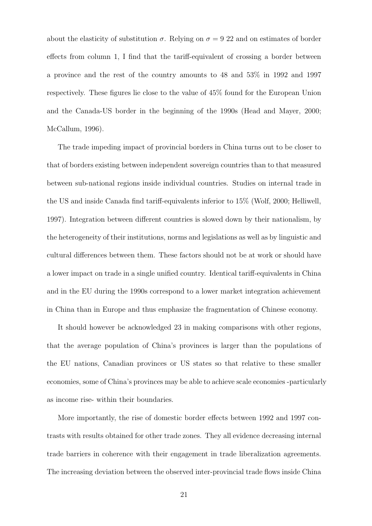about the elasticity of substitution  $\sigma$ . Relying on  $\sigma = 922$  and on estimates of border effects from column 1, I find that the tariff-equivalent of crossing a border between a province and the rest of the country amounts to 48 and 53% in 1992 and 1997 respectively. These figures lie close to the value of 45% found for the European Union and the Canada-US border in the beginning of the 1990s (Head and Mayer, 2000; McCallum, 1996).

The trade impeding impact of provincial borders in China turns out to be closer to that of borders existing between independent sovereign countries than to that measured between sub-national regions inside individual countries. Studies on internal trade in the US and inside Canada find tariff-equivalents inferior to 15% (Wolf, 2000; Helliwell, 1997). Integration between different countries is slowed down by their nationalism, by the heterogeneity of their institutions, norms and legislations as well as by linguistic and cultural differences between them. These factors should not be at work or should have a lower impact on trade in a single unified country. Identical tariff-equivalents in China and in the EU during the 1990s correspond to a lower market integration achievement in China than in Europe and thus emphasize the fragmentation of Chinese economy.

It should however be acknowledged 23 in making comparisons with other regions, that the average population of China's provinces is larger than the populations of the EU nations, Canadian provinces or US states so that relative to these smaller economies, some of China's provinces may be able to achieve scale economies -particularly as income rise- within their boundaries.

More importantly, the rise of domestic border effects between 1992 and 1997 contrasts with results obtained for other trade zones. They all evidence decreasing internal trade barriers in coherence with their engagement in trade liberalization agreements. The increasing deviation between the observed inter-provincial trade flows inside China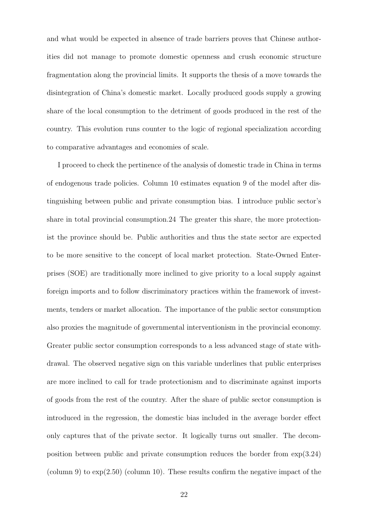and what would be expected in absence of trade barriers proves that Chinese authorities did not manage to promote domestic openness and crush economic structure fragmentation along the provincial limits. It supports the thesis of a move towards the disintegration of China's domestic market. Locally produced goods supply a growing share of the local consumption to the detriment of goods produced in the rest of the country. This evolution runs counter to the logic of regional specialization according to comparative advantages and economies of scale.

I proceed to check the pertinence of the analysis of domestic trade in China in terms of endogenous trade policies. Column 10 estimates equation 9 of the model after distinguishing between public and private consumption bias. I introduce public sector's share in total provincial consumption.24 The greater this share, the more protectionist the province should be. Public authorities and thus the state sector are expected to be more sensitive to the concept of local market protection. State-Owned Enterprises (SOE) are traditionally more inclined to give priority to a local supply against foreign imports and to follow discriminatory practices within the framework of investments, tenders or market allocation. The importance of the public sector consumption also proxies the magnitude of governmental interventionism in the provincial economy. Greater public sector consumption corresponds to a less advanced stage of state withdrawal. The observed negative sign on this variable underlines that public enterprises are more inclined to call for trade protectionism and to discriminate against imports of goods from the rest of the country. After the share of public sector consumption is introduced in the regression, the domestic bias included in the average border effect only captures that of the private sector. It logically turns out smaller. The decomposition between public and private consumption reduces the border from exp(3.24) (column 9) to exp(2.50) (column 10). These results confirm the negative impact of the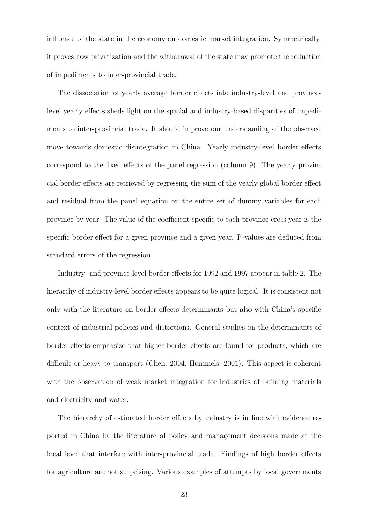influence of the state in the economy on domestic market integration. Symmetrically, it proves how privatization and the withdrawal of the state may promote the reduction of impediments to inter-provincial trade.

The dissociation of yearly average border effects into industry-level and provincelevel yearly effects sheds light on the spatial and industry-based disparities of impediments to inter-provincial trade. It should improve our understanding of the observed move towards domestic disintegration in China. Yearly industry-level border effects correspond to the fixed effects of the panel regression (column 9). The yearly provincial border effects are retrieved by regressing the sum of the yearly global border effect and residual from the panel equation on the entire set of dummy variables for each province by year. The value of the coefficient specific to each province cross year is the specific border effect for a given province and a given year. P-values are deduced from standard errors of the regression.

Industry- and province-level border effects for 1992 and 1997 appear in table 2. The hierarchy of industry-level border effects appears to be quite logical. It is consistent not only with the literature on border effects determinants but also with China's specific context of industrial policies and distortions. General studies on the determinants of border effects emphasize that higher border effects are found for products, which are difficult or heavy to transport (Chen, 2004; Hummels, 2001). This aspect is coherent with the observation of weak market integration for industries of building materials and electricity and water.

The hierarchy of estimated border effects by industry is in line with evidence reported in China by the literature of policy and management decisions made at the local level that interfere with inter-provincial trade. Findings of high border effects for agriculture are not surprising. Various examples of attempts by local governments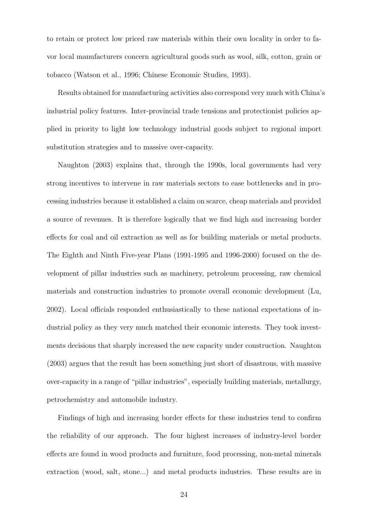to retain or protect low priced raw materials within their own locality in order to favor local manufacturers concern agricultural goods such as wool, silk, cotton, grain or tobacco (Watson et al., 1996; Chinese Economic Studies, 1993).

Results obtained for manufacturing activities also correspond very much with China's industrial policy features. Inter-provincial trade tensions and protectionist policies applied in priority to light low technology industrial goods subject to regional import substitution strategies and to massive over-capacity.

Naughton (2003) explains that, through the 1990s, local governments had very strong incentives to intervene in raw materials sectors to ease bottlenecks and in processing industries because it established a claim on scarce, cheap materials and provided a source of revenues. It is therefore logically that we find high and increasing border effects for coal and oil extraction as well as for building materials or metal products. The Eighth and Ninth Five-year Plans (1991-1995 and 1996-2000) focused on the development of pillar industries such as machinery, petroleum processing, raw chemical materials and construction industries to promote overall economic development (Lu, 2002). Local officials responded enthusiastically to these national expectations of industrial policy as they very much matched their economic interests. They took investments decisions that sharply increased the new capacity under construction. Naughton (2003) argues that the result has been something just short of disastrous, with massive over-capacity in a range of "pillar industries", especially building materials, metallurgy, petrochemistry and automobile industry.

Findings of high and increasing border effects for these industries tend to confirm the reliability of our approach. The four highest increases of industry-level border effects are found in wood products and furniture, food processing, non-metal minerals extraction (wood, salt, stone...) and metal products industries. These results are in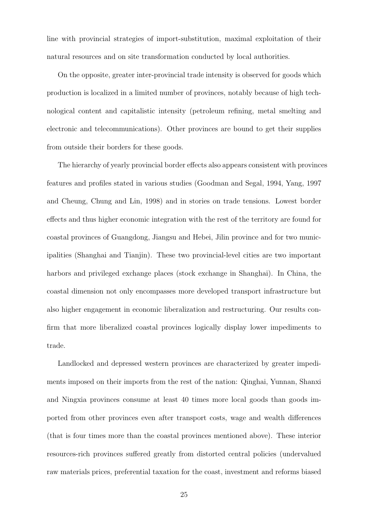line with provincial strategies of import-substitution, maximal exploitation of their natural resources and on site transformation conducted by local authorities.

On the opposite, greater inter-provincial trade intensity is observed for goods which production is localized in a limited number of provinces, notably because of high technological content and capitalistic intensity (petroleum refining, metal smelting and electronic and telecommunications). Other provinces are bound to get their supplies from outside their borders for these goods.

The hierarchy of yearly provincial border effects also appears consistent with provinces features and profiles stated in various studies (Goodman and Segal, 1994, Yang, 1997 and Cheung, Chung and Lin, 1998) and in stories on trade tensions. Lowest border effects and thus higher economic integration with the rest of the territory are found for coastal provinces of Guangdong, Jiangsu and Hebei, Jilin province and for two municipalities (Shanghai and Tianjin). These two provincial-level cities are two important harbors and privileged exchange places (stock exchange in Shanghai). In China, the coastal dimension not only encompasses more developed transport infrastructure but also higher engagement in economic liberalization and restructuring. Our results confirm that more liberalized coastal provinces logically display lower impediments to trade.

Landlocked and depressed western provinces are characterized by greater impediments imposed on their imports from the rest of the nation: Qinghai, Yunnan, Shanxi and Ningxia provinces consume at least 40 times more local goods than goods imported from other provinces even after transport costs, wage and wealth differences (that is four times more than the coastal provinces mentioned above). These interior resources-rich provinces suffered greatly from distorted central policies (undervalued raw materials prices, preferential taxation for the coast, investment and reforms biased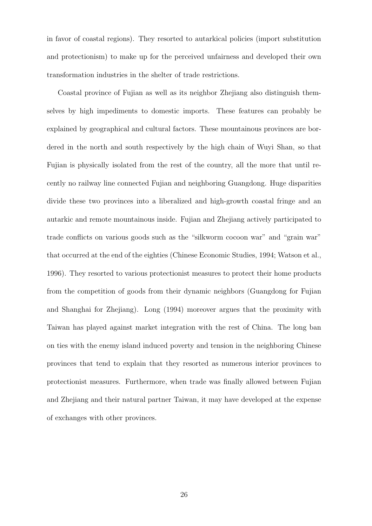in favor of coastal regions). They resorted to autarkical policies (import substitution and protectionism) to make up for the perceived unfairness and developed their own transformation industries in the shelter of trade restrictions.

Coastal province of Fujian as well as its neighbor Zhejiang also distinguish themselves by high impediments to domestic imports. These features can probably be explained by geographical and cultural factors. These mountainous provinces are bordered in the north and south respectively by the high chain of Wuyi Shan, so that Fujian is physically isolated from the rest of the country, all the more that until recently no railway line connected Fujian and neighboring Guangdong. Huge disparities divide these two provinces into a liberalized and high-growth coastal fringe and an autarkic and remote mountainous inside. Fujian and Zhejiang actively participated to trade conflicts on various goods such as the "silkworm cocoon war" and "grain war" that occurred at the end of the eighties (Chinese Economic Studies, 1994; Watson et al., 1996). They resorted to various protectionist measures to protect their home products from the competition of goods from their dynamic neighbors (Guangdong for Fujian and Shanghai for Zhejiang). Long (1994) moreover argues that the proximity with Taiwan has played against market integration with the rest of China. The long ban on ties with the enemy island induced poverty and tension in the neighboring Chinese provinces that tend to explain that they resorted as numerous interior provinces to protectionist measures. Furthermore, when trade was finally allowed between Fujian and Zhejiang and their natural partner Taiwan, it may have developed at the expense of exchanges with other provinces.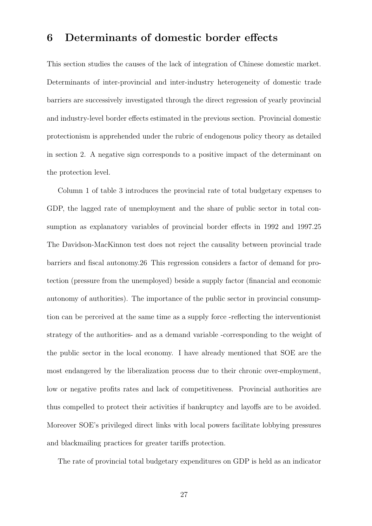## 6 Determinants of domestic border effects

This section studies the causes of the lack of integration of Chinese domestic market. Determinants of inter-provincial and inter-industry heterogeneity of domestic trade barriers are successively investigated through the direct regression of yearly provincial and industry-level border effects estimated in the previous section. Provincial domestic protectionism is apprehended under the rubric of endogenous policy theory as detailed in section 2. A negative sign corresponds to a positive impact of the determinant on the protection level.

Column 1 of table 3 introduces the provincial rate of total budgetary expenses to GDP, the lagged rate of unemployment and the share of public sector in total consumption as explanatory variables of provincial border effects in 1992 and 1997.25 The Davidson-MacKinnon test does not reject the causality between provincial trade barriers and fiscal autonomy.26 This regression considers a factor of demand for protection (pressure from the unemployed) beside a supply factor (financial and economic autonomy of authorities). The importance of the public sector in provincial consumption can be perceived at the same time as a supply force -reflecting the interventionist strategy of the authorities- and as a demand variable -corresponding to the weight of the public sector in the local economy. I have already mentioned that SOE are the most endangered by the liberalization process due to their chronic over-employment, low or negative profits rates and lack of competitiveness. Provincial authorities are thus compelled to protect their activities if bankruptcy and layoffs are to be avoided. Moreover SOE's privileged direct links with local powers facilitate lobbying pressures and blackmailing practices for greater tariffs protection.

The rate of provincial total budgetary expenditures on GDP is held as an indicator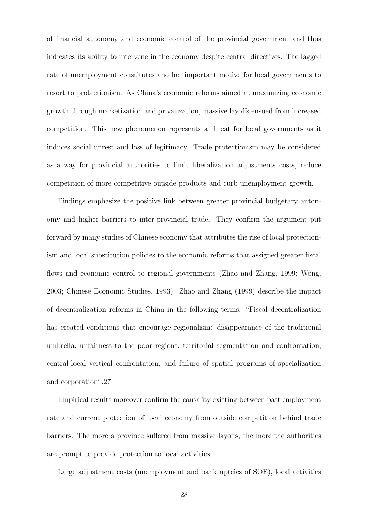of financial autonomy and economic control of the provincial government and thus indicates its ability to intervene in the economy despite central directives. The lagged rate of unemployment constitutes another important motive for local governments to resort to protectionism. As China's economic reforms aimed at maximizing economic growth through marketization and privatization, massive layoffs ensued from increased competition. This new phenomenon represents a threat for local governments as it induces social unrest and loss of legitimacy. Trade protectionism may be considered as a way for provincial authorities to limit liberalization adjustments costs, reduce competition of more competitive outside products and curb unemployment growth.

Findings emphasize the positive link between greater provincial budgetary autonomy and higher barriers to inter-provincial trade. They confirm the argument put forward by many studies of Chinese economy that attributes the rise of local protectionism and local substitution policies to the economic reforms that assigned greater fiscal flows and economic control to regional governments (Zhao and Zhang, 1999; Wong, 2003; Chinese Economic Studies, 1993). Zhao and Zhang (1999) describe the impact of decentralization reforms in China in the following terms: "Fiscal decentralization has created conditions that encourage regionalism: disappearance of the traditional umbrella, unfairness to the poor regions, territorial segmentation and confrontation, central-local vertical confrontation, and failure of spatial programs of specialization and corporation".27

Empirical results moreover confirm the causality existing between past employment rate and current protection of local economy from outside competition behind trade barriers. The more a province suffered from massive layoffs, the more the authorities are prompt to provide protection to local activities.

Large adjustment costs (unemployment and bankruptcies of SOE), local activities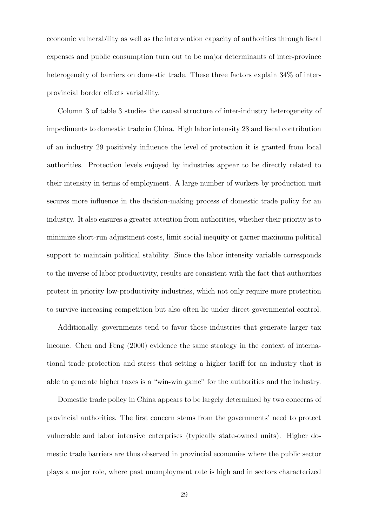economic vulnerability as well as the intervention capacity of authorities through fiscal expenses and public consumption turn out to be major determinants of inter-province heterogeneity of barriers on domestic trade. These three factors explain  $34\%$  of interprovincial border effects variability.

Column 3 of table 3 studies the causal structure of inter-industry heterogeneity of impediments to domestic trade in China. High labor intensity 28 and fiscal contribution of an industry 29 positively influence the level of protection it is granted from local authorities. Protection levels enjoyed by industries appear to be directly related to their intensity in terms of employment. A large number of workers by production unit secures more influence in the decision-making process of domestic trade policy for an industry. It also ensures a greater attention from authorities, whether their priority is to minimize short-run adjustment costs, limit social inequity or garner maximum political support to maintain political stability. Since the labor intensity variable corresponds to the inverse of labor productivity, results are consistent with the fact that authorities protect in priority low-productivity industries, which not only require more protection to survive increasing competition but also often lie under direct governmental control.

Additionally, governments tend to favor those industries that generate larger tax income. Chen and Feng (2000) evidence the same strategy in the context of international trade protection and stress that setting a higher tariff for an industry that is able to generate higher taxes is a "win-win game" for the authorities and the industry.

Domestic trade policy in China appears to be largely determined by two concerns of provincial authorities. The first concern stems from the governments' need to protect vulnerable and labor intensive enterprises (typically state-owned units). Higher domestic trade barriers are thus observed in provincial economies where the public sector plays a major role, where past unemployment rate is high and in sectors characterized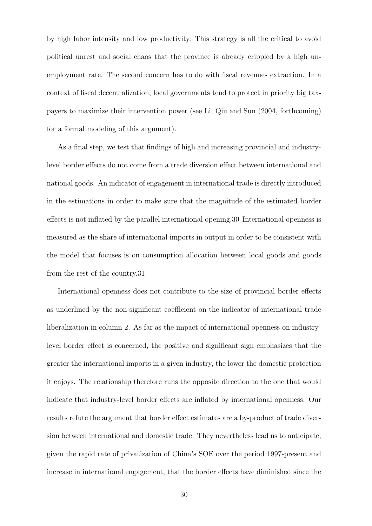by high labor intensity and low productivity. This strategy is all the critical to avoid political unrest and social chaos that the province is already crippled by a high unemployment rate. The second concern has to do with fiscal revenues extraction. In a context of fiscal decentralization, local governments tend to protect in priority big taxpayers to maximize their intervention power (see Li, Qiu and Sun (2004, forthcoming) for a formal modeling of this argument).

As a final step, we test that findings of high and increasing provincial and industrylevel border effects do not come from a trade diversion effect between international and national goods. An indicator of engagement in international trade is directly introduced in the estimations in order to make sure that the magnitude of the estimated border effects is not inflated by the parallel international opening.30 International openness is measured as the share of international imports in output in order to be consistent with the model that focuses is on consumption allocation between local goods and goods from the rest of the country.31

International openness does not contribute to the size of provincial border effects as underlined by the non-significant coefficient on the indicator of international trade liberalization in column 2. As far as the impact of international openness on industrylevel border effect is concerned, the positive and significant sign emphasizes that the greater the international imports in a given industry, the lower the domestic protection it enjoys. The relationship therefore runs the opposite direction to the one that would indicate that industry-level border effects are inflated by international openness. Our results refute the argument that border effect estimates are a by-product of trade diversion between international and domestic trade. They nevertheless lead us to anticipate, given the rapid rate of privatization of China's SOE over the period 1997-present and increase in international engagement, that the border effects have diminished since the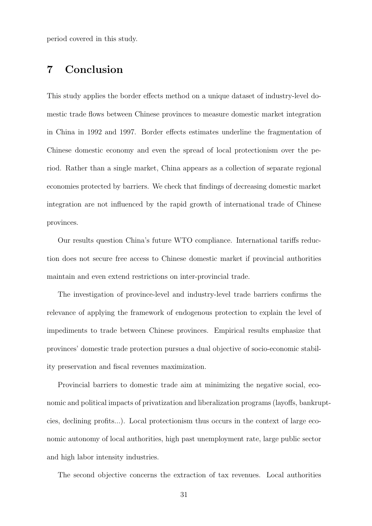period covered in this study.

## 7 Conclusion

This study applies the border effects method on a unique dataset of industry-level domestic trade flows between Chinese provinces to measure domestic market integration in China in 1992 and 1997. Border effects estimates underline the fragmentation of Chinese domestic economy and even the spread of local protectionism over the period. Rather than a single market, China appears as a collection of separate regional economies protected by barriers. We check that findings of decreasing domestic market integration are not influenced by the rapid growth of international trade of Chinese provinces.

Our results question China's future WTO compliance. International tariffs reduction does not secure free access to Chinese domestic market if provincial authorities maintain and even extend restrictions on inter-provincial trade.

The investigation of province-level and industry-level trade barriers confirms the relevance of applying the framework of endogenous protection to explain the level of impediments to trade between Chinese provinces. Empirical results emphasize that provinces' domestic trade protection pursues a dual objective of socio-economic stability preservation and fiscal revenues maximization.

Provincial barriers to domestic trade aim at minimizing the negative social, economic and political impacts of privatization and liberalization programs (layoffs, bankruptcies, declining profits...). Local protectionism thus occurs in the context of large economic autonomy of local authorities, high past unemployment rate, large public sector and high labor intensity industries.

The second objective concerns the extraction of tax revenues. Local authorities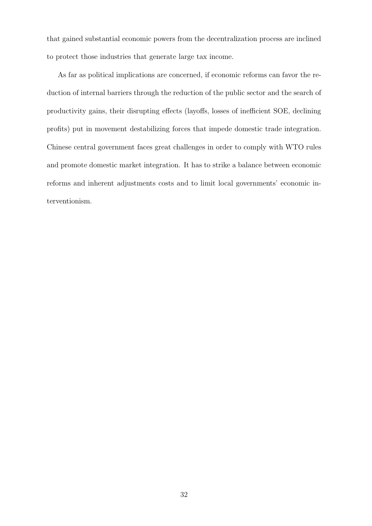that gained substantial economic powers from the decentralization process are inclined to protect those industries that generate large tax income.

As far as political implications are concerned, if economic reforms can favor the reduction of internal barriers through the reduction of the public sector and the search of productivity gains, their disrupting effects (layoffs, losses of inefficient SOE, declining profits) put in movement destabilizing forces that impede domestic trade integration. Chinese central government faces great challenges in order to comply with WTO rules and promote domestic market integration. It has to strike a balance between economic reforms and inherent adjustments costs and to limit local governments' economic interventionism.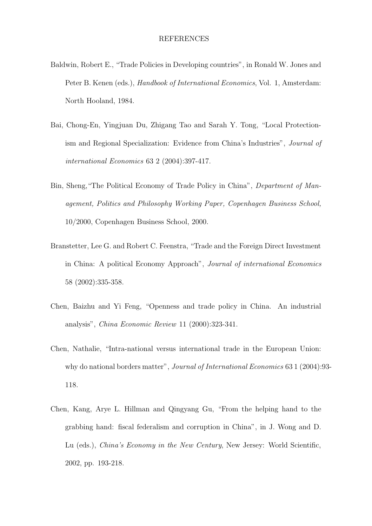- Baldwin, Robert E., "Trade Policies in Developing countries", in Ronald W. Jones and Peter B. Kenen (eds.), *Handbook of International Economics*, Vol. 1, Amsterdam: North Hooland, 1984.
- Bai, Chong-En, Yingjuan Du, Zhigang Tao and Sarah Y. Tong, "Local Protectionism and Regional Specialization: Evidence from China's Industries", Journal of international Economics 63 2 (2004):397-417.
- Bin, Sheng,"The Political Economy of Trade Policy in China", Department of Management, Politics and Philosophy Working Paper, Copenhagen Business School, 10/2000, Copenhagen Business School, 2000.
- Branstetter, Lee G. and Robert C. Feenstra, "Trade and the Foreign Direct Investment in China: A political Economy Approach", Journal of international Economics 58 (2002):335-358.
- Chen, Baizhu and Yi Feng, "Openness and trade policy in China. An industrial analysis", China Economic Review 11 (2000):323-341.
- Chen, Nathalie, "Intra-national versus international trade in the European Union: why do national borders matter", *Journal of International Economics* 63 1 (2004):93-118.
- Chen, Kang, Arye L. Hillman and Qingyang Gu, "From the helping hand to the grabbing hand: fiscal federalism and corruption in China", in J. Wong and D. Lu (eds.), *China's Economy in the New Century*, New Jersey: World Scientific, 2002, pp. 193-218.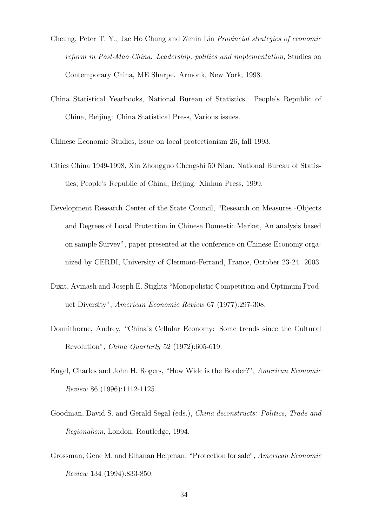- Cheung, Peter T. Y., Jae Ho Chung and Zimin Lin Provincial strategies of economic reform in Post-Mao China. Leadership, politics and implementation, Studies on Contemporary China, ME Sharpe. Armonk, New York, 1998.
- China Statistical Yearbooks, National Bureau of Statistics. People's Republic of China, Beijing: China Statistical Press, Various issues.

Chinese Economic Studies, issue on local protectionism 26, fall 1993.

- Cities China 1949-1998, Xin Zhongguo Chengshi 50 Nian, National Bureau of Statistics, People's Republic of China, Beijing: Xinhua Press, 1999.
- Development Research Center of the State Council, "Research on Measures -Objects and Degrees of Local Protection in Chinese Domestic Market, An analysis based on sample Survey", paper presented at the conference on Chinese Economy organized by CERDI, University of Clermont-Ferrand, France, October 23-24. 2003.
- Dixit, Avinash and Joseph E. Stiglitz "Monopolistic Competition and Optimum Product Diversity", American Economic Review 67 (1977):297-308.
- Donnithorne, Audrey, "China's Cellular Economy: Some trends since the Cultural Revolution", China Quarterly 52 (1972):605-619.
- Engel, Charles and John H. Rogers, "How Wide is the Border?", American Economic Review 86 (1996):1112-1125.
- Goodman, David S. and Gerald Segal (eds.), *China deconstructs: Politics, Trade and* Regionalism, London, Routledge, 1994.
- Grossman, Gene M. and Elhanan Helpman, "Protection for sale", American Economic Review 134 (1994):833-850.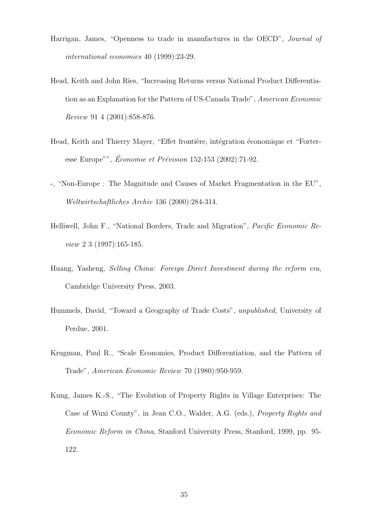- Harrigan, James, "Openness to trade in manufactures in the OECD", Journal of international economics 40 (1999):23-29.
- Head, Keith and John Ries, "Increasing Returns versus National Product Differentiation as an Explanation for the Pattern of US-Canada Trade", American Economic Review 91 4 (2001):858-876.
- Head, Keith and Thierry Mayer, "Effet frontière, intégration économique et "Forteresse Europe"", Économie et Prévision  $152-153$  (2002):71-92.
- -, "Non-Europe : The Magnitude and Causes of Market Fragmentation in the EU", Weltwirtschaftliches Archiv 136 (2000):284-314.
- Helliwell, John F., "National Borders, Trade and Migration", Pacific Economic Review 2 3 (1997):165-185.
- Huang, Yasheng, Selling China: Foreign Direct Investment during the reform era, Cambridge University Press, 2003.
- Hummels, David, "Toward a Geography of Trade Costs", unpublished, University of Perdue, 2001.
- Krugman, Paul R., "Scale Economies, Product Differentiation, and the Pattern of Trade", American Economic Review 70 (1980):950-959.
- Kung, James K.-S., "The Evolution of Property Rights in Village Enterprises: The Case of Wuxi County", in Jean C.O., Walder, A.G. (eds.), Property Rights and Economic Reform in China, Stanford University Press, Stanford, 1999, pp. 95- 122.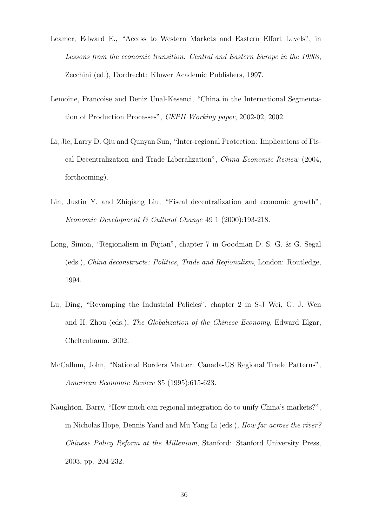- Leamer, Edward E., "Access to Western Markets and Eastern Effort Levels", in Lessons from the economic transition: Central and Eastern Europe in the 1990s, Zecchini (ed.), Dordrecht: Kluwer Academic Publishers, 1997.
- Lemoine, Francoise and Deniz Unal-Kesenci, "China in the International Segmentation of Production Processes", CEPII Working paper, 2002-02, 2002.
- Li, Jie, Larry D. Qiu and Qunyan Sun, "Inter-regional Protection: Implications of Fiscal Decentralization and Trade Liberalization", China Economic Review (2004, forthcoming).
- Lin, Justin Y. and Zhiqiang Liu, "Fiscal decentralization and economic growth", Economic Development & Cultural Change 49 1 (2000):193-218.
- Long, Simon, "Regionalism in Fujian", chapter 7 in Goodman D. S. G. & G. Segal (eds.), China deconstructs: Politics, Trade and Regionalism, London: Routledge, 1994.
- Lu, Ding, "Revamping the Industrial Policies", chapter 2 in S-J Wei, G. J. Wen and H. Zhou (eds.), The Globalization of the Chinese Economy, Edward Elgar, Cheltenhaum, 2002.
- McCallum, John, "National Borders Matter: Canada-US Regional Trade Patterns", American Economic Review 85 (1995):615-623.
- Naughton, Barry, "How much can regional integration do to unify China's markets?", in Nicholas Hope, Dennis Yand and Mu Yang Li (eds.), How far across the river? Chinese Policy Reform at the Millenium, Stanford: Stanford University Press, 2003, pp. 204-232.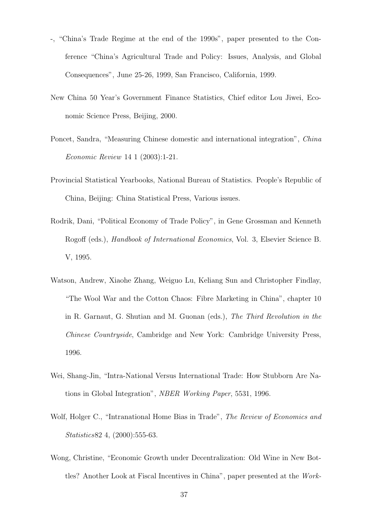- -, "China's Trade Regime at the end of the 1990s", paper presented to the Conference "China's Agricultural Trade and Policy: Issues, Analysis, and Global Consequences", June 25-26, 1999, San Francisco, California, 1999.
- New China 50 Year's Government Finance Statistics, Chief editor Lou Jiwei, Economic Science Press, Beijing, 2000.
- Poncet, Sandra, "Measuring Chinese domestic and international integration", China Economic Review 14 1 (2003):1-21.
- Provincial Statistical Yearbooks, National Bureau of Statistics. People's Republic of China, Beijing: China Statistical Press, Various issues.
- Rodrik, Dani, "Political Economy of Trade Policy", in Gene Grossman and Kenneth Rogoff (eds.), Handbook of International Economics, Vol. 3, Elsevier Science B. V, 1995.
- Watson, Andrew, Xiaohe Zhang, Weiguo Lu, Keliang Sun and Christopher Findlay, "The Wool War and the Cotton Chaos: Fibre Marketing in China", chapter 10 in R. Garnaut, G. Shutian and M. Guonan (eds.), The Third Revolution in the Chinese Countryside, Cambridge and New York: Cambridge University Press, 1996.
- Wei, Shang-Jin, "Intra-National Versus International Trade: How Stubborn Are Nations in Global Integration", NBER Working Paper, 5531, 1996.
- Wolf, Holger C., "Intranational Home Bias in Trade", The Review of Economics and Statistics82 4, (2000):555-63.
- Wong, Christine, "Economic Growth under Decentralization: Old Wine in New Bottles? Another Look at Fiscal Incentives in China", paper presented at the Work-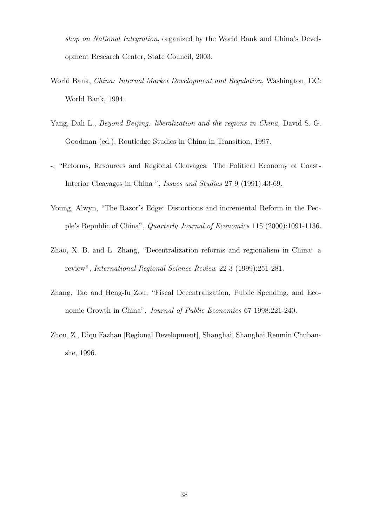shop on National Integration, organized by the World Bank and China's Development Research Center, State Council, 2003.

- World Bank, China: Internal Market Development and Regulation, Washington, DC: World Bank, 1994.
- Yang, Dali L., Beyond Beijing. liberalization and the regions in China, David S. G. Goodman (ed.), Routledge Studies in China in Transition, 1997.
- -, "Reforms, Resources and Regional Cleavages: The Political Economy of Coast-Interior Cleavages in China ", Issues and Studies 27 9 (1991):43-69.
- Young, Alwyn, "The Razor's Edge: Distortions and incremental Reform in the People's Republic of China", Quarterly Journal of Economics 115 (2000):1091-1136.
- Zhao, X. B. and L. Zhang, "Decentralization reforms and regionalism in China: a review", International Regional Science Review 22 3 (1999):251-281.
- Zhang, Tao and Heng-fu Zou, "Fiscal Decentralization, Public Spending, and Economic Growth in China", Journal of Public Economics 67 1998:221-240.
- Zhou, Z., Diqu Fazhan [Regional Development], Shanghai, Shanghai Renmin Chubanshe, 1996.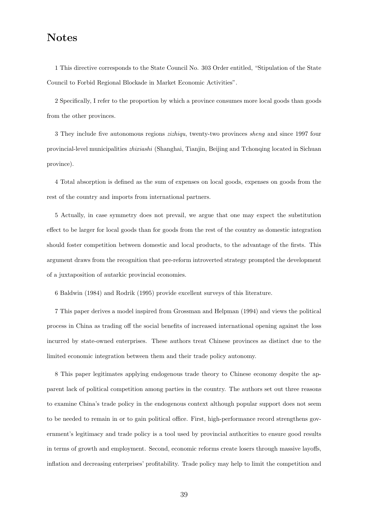## Notes

1 This directive corresponds to the State Council No. 303 Order entitled, "Stipulation of the State Council to Forbid Regional Blockade in Market Economic Activities".

2 Specifically, I refer to the proportion by which a province consumes more local goods than goods from the other provinces.

3 They include five autonomous regions zizhiqu, twenty-two provinces sheng and since 1997 four provincial-level municipalities zhixiashi (Shanghai, Tianjin, Beijing and Tchonqing located in Sichuan province).

4 Total absorption is defined as the sum of expenses on local goods, expenses on goods from the rest of the country and imports from international partners.

5 Actually, in case symmetry does not prevail, we argue that one may expect the substitution effect to be larger for local goods than for goods from the rest of the country as domestic integration should foster competition between domestic and local products, to the advantage of the firsts. This argument draws from the recognition that pre-reform introverted strategy prompted the development of a juxtaposition of autarkic provincial economies.

6 Baldwin (1984) and Rodrik (1995) provide excellent surveys of this literature.

7 This paper derives a model inspired from Grossman and Helpman (1994) and views the political process in China as trading off the social benefits of increased international opening against the loss incurred by state-owned enterprises. These authors treat Chinese provinces as distinct due to the limited economic integration between them and their trade policy autonomy.

8 This paper legitimates applying endogenous trade theory to Chinese economy despite the apparent lack of political competition among parties in the country. The authors set out three reasons to examine China's trade policy in the endogenous context although popular support does not seem to be needed to remain in or to gain political office. First, high-performance record strengthens government's legitimacy and trade policy is a tool used by provincial authorities to ensure good results in terms of growth and employment. Second, economic reforms create losers through massive layoffs, inflation and decreasing enterprises' profitability. Trade policy may help to limit the competition and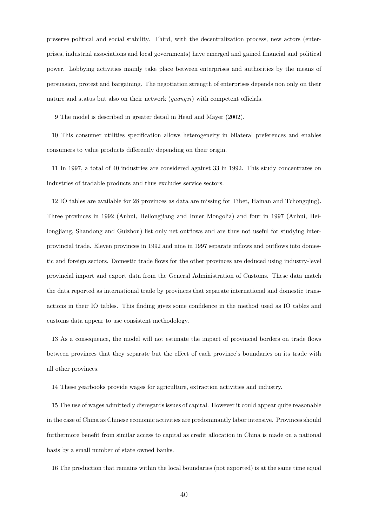preserve political and social stability. Third, with the decentralization process, new actors (enterprises, industrial associations and local governments) have emerged and gained financial and political power. Lobbying activities mainly take place between enterprises and authorities by the means of persuasion, protest and bargaining. The negotiation strength of enterprises depends non only on their nature and status but also on their network (guangxi) with competent officials.

9 The model is described in greater detail in Head and Mayer (2002).

10 This consumer utilities specification allows heterogeneity in bilateral preferences and enables consumers to value products differently depending on their origin.

11 In 1997, a total of 40 industries are considered against 33 in 1992. This study concentrates on industries of tradable products and thus excludes service sectors.

12 IO tables are available for 28 provinces as data are missing for Tibet, Hainan and Tchongqing). Three provinces in 1992 (Anhui, Heilongjiang and Inner Mongolia) and four in 1997 (Anhui, Heilongjiang, Shandong and Guizhou) list only net outflows and are thus not useful for studying interprovincial trade. Eleven provinces in 1992 and nine in 1997 separate inflows and outflows into domestic and foreign sectors. Domestic trade flows for the other provinces are deduced using industry-level provincial import and export data from the General Administration of Customs. These data match the data reported as international trade by provinces that separate international and domestic transactions in their IO tables. This finding gives some confidence in the method used as IO tables and customs data appear to use consistent methodology.

13 As a consequence, the model will not estimate the impact of provincial borders on trade flows between provinces that they separate but the effect of each province's boundaries on its trade with all other provinces.

14 These yearbooks provide wages for agriculture, extraction activities and industry.

15 The use of wages admittedly disregards issues of capital. However it could appear quite reasonable in the case of China as Chinese economic activities are predominantly labor intensive. Provinces should furthermore benefit from similar access to capital as credit allocation in China is made on a national basis by a small number of state owned banks.

16 The production that remains within the local boundaries (not exported) is at the same time equal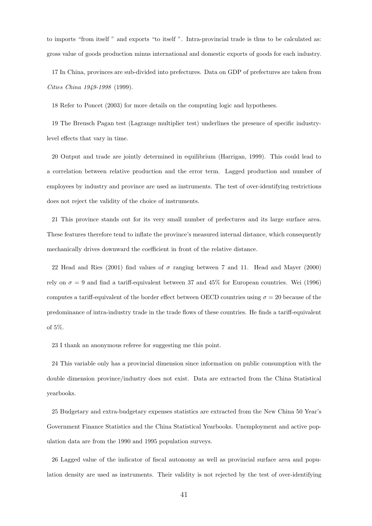to imports "from itself " and exports "to itself ". Intra-provincial trade is thus to be calculated as: gross value of goods production minus international and domestic exports of goods for each industry.

17 In China, provinces are sub-divided into prefectures. Data on GDP of prefectures are taken from Cities China 1949-1998 (1999).

18 Refer to Poncet (2003) for more details on the computing logic and hypotheses.

19 The Breusch Pagan test (Lagrange multiplier test) underlines the presence of specific industrylevel effects that vary in time.

20 Output and trade are jointly determined in equilibrium (Harrigan, 1999). This could lead to a correlation between relative production and the error term. Lagged production and number of employees by industry and province are used as instruments. The test of over-identifying restrictions does not reject the validity of the choice of instruments.

21 This province stands out for its very small number of prefectures and its large surface area. These features therefore tend to inflate the province's measured internal distance, which consequently mechanically drives downward the coefficient in front of the relative distance.

22 Head and Ries (2001) find values of  $\sigma$  ranging between 7 and 11. Head and Mayer (2000) rely on  $\sigma = 9$  and find a tariff-equivalent between 37 and 45% for European countries. Wei (1996) computes a tariff-equivalent of the border effect between OECD countries using  $\sigma = 20$  because of the predominance of intra-industry trade in the trade flows of these countries. He finds a tariff-equivalent of 5%.

23 I thank an anonymous referee for suggesting me this point.

24 This variable only has a provincial dimension since information on public consumption with the double dimension province/industry does not exist. Data are extracted from the China Statistical yearbooks.

25 Budgetary and extra-budgetary expenses statistics are extracted from the New China 50 Year's Government Finance Statistics and the China Statistical Yearbooks. Unemployment and active population data are from the 1990 and 1995 population surveys.

26 Lagged value of the indicator of fiscal autonomy as well as provincial surface area and population density are used as instruments. Their validity is not rejected by the test of over-identifying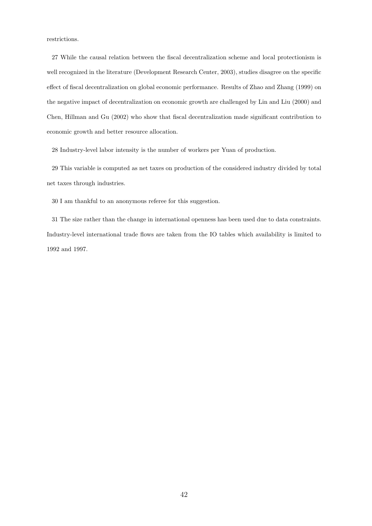restrictions.

27 While the causal relation between the fiscal decentralization scheme and local protectionism is well recognized in the literature (Development Research Center, 2003), studies disagree on the specific effect of fiscal decentralization on global economic performance. Results of Zhao and Zhang (1999) on the negative impact of decentralization on economic growth are challenged by Lin and Liu (2000) and Chen, Hillman and Gu (2002) who show that fiscal decentralization made significant contribution to economic growth and better resource allocation.

28 Industry-level labor intensity is the number of workers per Yuan of production.

29 This variable is computed as net taxes on production of the considered industry divided by total net taxes through industries.

30 I am thankful to an anonymous referee for this suggestion.

31 The size rather than the change in international openness has been used due to data constraints. Industry-level international trade flows are taken from the IO tables which availability is limited to 1992 and 1997.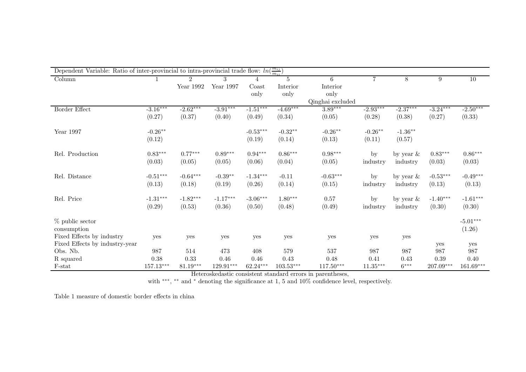| Dependent Variable: Ratio of inter-provincial to intra-provincial trade flow: $ln(\frac{m_{ij}}{m_{ij}})$ |             |                |             |            |                |                  |                |              |            |             |
|-----------------------------------------------------------------------------------------------------------|-------------|----------------|-------------|------------|----------------|------------------|----------------|--------------|------------|-------------|
| Column                                                                                                    |             | $\mathfrak{D}$ |             |            | $\overline{5}$ | 6                | $\overline{7}$ | 8            | 9          | 10          |
|                                                                                                           |             | Year 1992      | Year 1997   | Coast      | Interior       | Interior         |                |              |            |             |
|                                                                                                           |             |                |             | only       | only           | only             |                |              |            |             |
|                                                                                                           |             |                |             |            |                | Qinghai excluded |                |              |            |             |
| Border Effect                                                                                             | $-3.16***$  | $-2.62***$     | $-3.91***$  | $-1.51***$ | $-4.69***$     | $3.89***$        | $-2.93***$     | $-2.37***$   | $-3.24***$ | $-2.50***$  |
|                                                                                                           | (0.27)      | (0.37)         | (0.40)      | (0.49)     | (0.34)         | (0.05)           | (0.28)         | (0.38)       | (0.27)     | (0.33)      |
| Year 1997                                                                                                 | $-0.26**$   |                |             | $-0.53***$ | $-0.32**$      | $-0.26**$        | $-0.26**$      | $-1.36***$   |            |             |
|                                                                                                           | (0.12)      |                |             | (0.19)     | (0.14)         | (0.13)           | (0.11)         | (0.57)       |            |             |
| Rel. Production                                                                                           | $0.83***$   | $0.77***$      | $0.89***$   | $0.94***$  | $0.86***$      | $0.98***$        | $_{\rm by}$    | by year $\&$ | $0.83***$  | $0.86***$   |
|                                                                                                           | (0.03)      | (0.05)         | (0.05)      | (0.06)     | (0.04)         | (0.05)           | industry       | industry     | (0.03)     | (0.03)      |
| Rel. Distance                                                                                             | $-0.51***$  | $-0.64***$     | $-0.39**$   | $-1.34***$ | $-0.11$        | $-0.63***$       | by             | by year $\&$ | $-0.53***$ | $-0.49***$  |
|                                                                                                           | (0.13)      | (0.18)         | (0.19)      | (0.26)     | (0.14)         | (0.15)           | industry       | industry     | (0.13)     | (0.13)      |
| Rel. Price                                                                                                | $-1.31***$  | $-1.82***$     | $-1.17***$  | $-3.06***$ | $1.80***$      | 0.57             | by             | by year $\&$ | $-1.40***$ | $-1.61***$  |
|                                                                                                           | (0.29)      | (0.53)         | (0.36)      | (0.50)     | (0.48)         | (0.49)           | industry       | industry     | (0.30)     | (0.30)      |
| % public sector                                                                                           |             |                |             |            |                |                  |                |              |            | $-5.01***$  |
| consumption                                                                                               |             |                |             |            |                |                  |                |              |            | (1.26)      |
| Fixed Effects by industry                                                                                 | yes         | yes            | yes         | yes        | yes            | yes              | yes            | yes          |            |             |
| Fixed Effects by industry-year                                                                            |             |                |             |            |                |                  |                |              | yes        | yes         |
| Obs. Nb.                                                                                                  | 987         | 514            | 473         | 408        | 579            | $537\,$          | 987            | 987          | 987        | 987         |
| R squared                                                                                                 | 0.38        | 0.33           | $0.46\,$    | 0.46       | 0.43           | 0.48             | 0.41           | 0.43         | 0.39       | 0.40        |
| F-stat                                                                                                    | $157.13***$ | $81.19***$     | $129.91***$ | 62.24***   | $103.53***$    | $117.50***$      | $11.35***$     | $6***$       | 207.09***  | $161.69***$ |

Heteroskedastic consistent standard errors in parentheses,<br>with \*\*\*, \*\* and \* denoting the significance at 1, 5 and 10% confidence level, respectively.

Table 1 measure of domestic border effects in china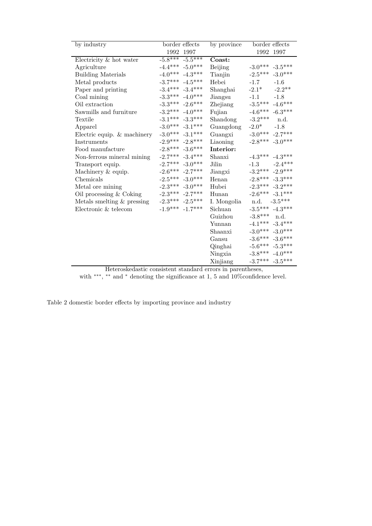| by industry                      | border effects      | by province    | border effects         |  |  |
|----------------------------------|---------------------|----------------|------------------------|--|--|
|                                  | 1992 1997           |                | 1992 1997              |  |  |
| Electricity & hot water          | $-5.8***$ $-5.5***$ | Coast:         |                        |  |  |
| Agriculture                      | $-4.4***$ $-5.0***$ | <b>Beijing</b> | $-3.0***$ $-3.5***$    |  |  |
| <b>Building Materials</b>        | $-4.0***$ $-4.3***$ | Tianjin        | $-3.0***$<br>$-2.5***$ |  |  |
| Metal products                   | $-3.7***$ $-4.5***$ | Hebei          | $-1.7$<br>$-1.6$       |  |  |
| Paper and printing               | $-3.4***$ $-3.4***$ | Shanghai       | $-2.1*$<br>$-2.2**$    |  |  |
| Coal mining                      | $-3.3***$ $-4.0***$ | Jiangsu        | $-1.8$<br>$-1.1$       |  |  |
| Oil extraction                   | $-3.3***$ $-2.6***$ | Zhejiang       | $-4.6***$<br>$-3.5***$ |  |  |
| Sawmills and furniture           | $-3.2***$ $-4.0***$ | Fujian         | $-4.6***$ $-6.3***$    |  |  |
| Textile                          | $-3.1***$ $-3.3***$ | Shandong       | $-3.2***$<br>n.d.      |  |  |
| Apparel                          | $-3.0***$ $-3.1***$ | Guangdong      | $-2.0*$<br>$-1.8$      |  |  |
| Electric equip. $&$ machinery    | $-3.0***$ $-3.1***$ | Guangxi        | $-3.0***$ $-2.7***$    |  |  |
| Instruments                      | $-2.9***$ $-2.8***$ | Liaoning       | $-2.8***$ $-3.0***$    |  |  |
| Food manufacture                 | $-2.8***$ $-3.6***$ | Interior:      |                        |  |  |
| Non-ferrous mineral mining       | $-2.7***$ $-3.4***$ | Shanxi         | $-4.3***$ $-4.3***$    |  |  |
| Transport equip.                 | $-2.7***$ $-3.0***$ | Jilin          | $-2.4***$<br>$-1.3$    |  |  |
| Machinery & equip.               | $-2.6***$ $-2.7***$ | Jiangxi        | $-3.2***$ $-2.9***$    |  |  |
| Chemicals                        | $-2.5***$ $-3.0***$ | Henan          | $-2.8***$ $-3.3***$    |  |  |
| Metal ore mining                 | $-2.3***$ $-3.0***$ | Hubei          | $-2.3***$ $-3.2***$    |  |  |
| Oil processing $& \text{Coking}$ | $-2.3*** -2.7***$   | Hunan          | $-2.6***$ $-3.1***$    |  |  |
| Metals smelting $&$ pressing     | $-2.3***$ $-2.5***$ | I. Mongolia    | n.d. $-3.5***$         |  |  |
| Electronic & telecom             | $-1.9***$ $-1.7***$ | Sichuan        | $-3.5***$ $-4.3***$    |  |  |
|                                  |                     | Guizhou        | $-3.8***$ n.d.         |  |  |
|                                  |                     | Yunnan         | $-4.1***$ $-3.4***$    |  |  |
|                                  |                     | Shaanxi        | $-3.0***$ $-3.0***$    |  |  |
|                                  |                     | Gansu          | $-3.6***$ $-3.6***$    |  |  |
|                                  |                     | Qinghai        | $-5.6***$ $-5.3***$    |  |  |
|                                  |                     | Ningxia        | $-3.8***$ $-4.0***$    |  |  |
|                                  |                     | Xinjiang       | $-3.7***$ $-3.5***$    |  |  |

Heteroskedastic consistent standard errors in parentheses,

with \*\*\*, \*\* and \* denoting the significance at 1, 5 and 10% confidence level.

Table 2 domestic border effects by importing province and industry